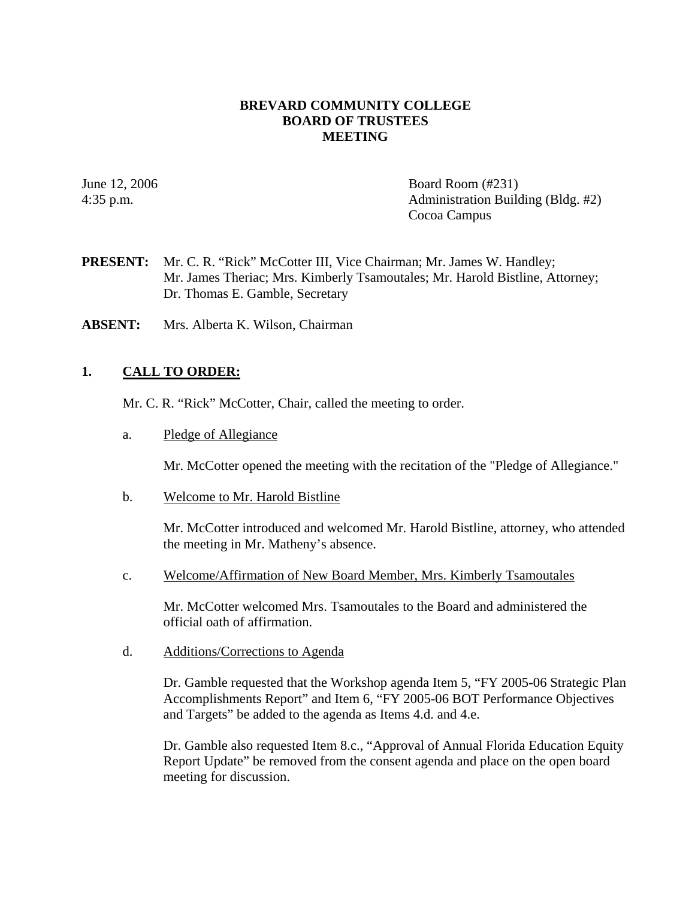#### **BREVARD COMMUNITY COLLEGE BOARD OF TRUSTEES MEETING**

June 12, 2006 **Board Room** (#231) 4:35 p.m. Administration Building (Bldg. #2) Cocoa Campus

- PRESENT: Mr. C. R. "Rick" McCotter III, Vice Chairman; Mr. James W. Handley; Mr. James Theriac; Mrs. Kimberly Tsamoutales; Mr. Harold Bistline, Attorney; Dr. Thomas E. Gamble, Secretary
- **ABSENT:** Mrs. Alberta K. Wilson, Chairman

## **1. CALL TO ORDER:**

Mr. C. R. "Rick" McCotter, Chair, called the meeting to order.

a. Pledge of Allegiance

Mr. McCotter opened the meeting with the recitation of the "Pledge of Allegiance."

b. Welcome to Mr. Harold Bistline

Mr. McCotter introduced and welcomed Mr. Harold Bistline, attorney, who attended the meeting in Mr. Matheny's absence.

c. Welcome/Affirmation of New Board Member, Mrs. Kimberly Tsamoutales

Mr. McCotter welcomed Mrs. Tsamoutales to the Board and administered the official oath of affirmation.

d. Additions/Corrections to Agenda

Dr. Gamble requested that the Workshop agenda Item 5, "FY 2005-06 Strategic Plan Accomplishments Report" and Item 6, "FY 2005-06 BOT Performance Objectives and Targets" be added to the agenda as Items 4.d. and 4.e.

Dr. Gamble also requested Item 8.c., "Approval of Annual Florida Education Equity Report Update" be removed from the consent agenda and place on the open board meeting for discussion.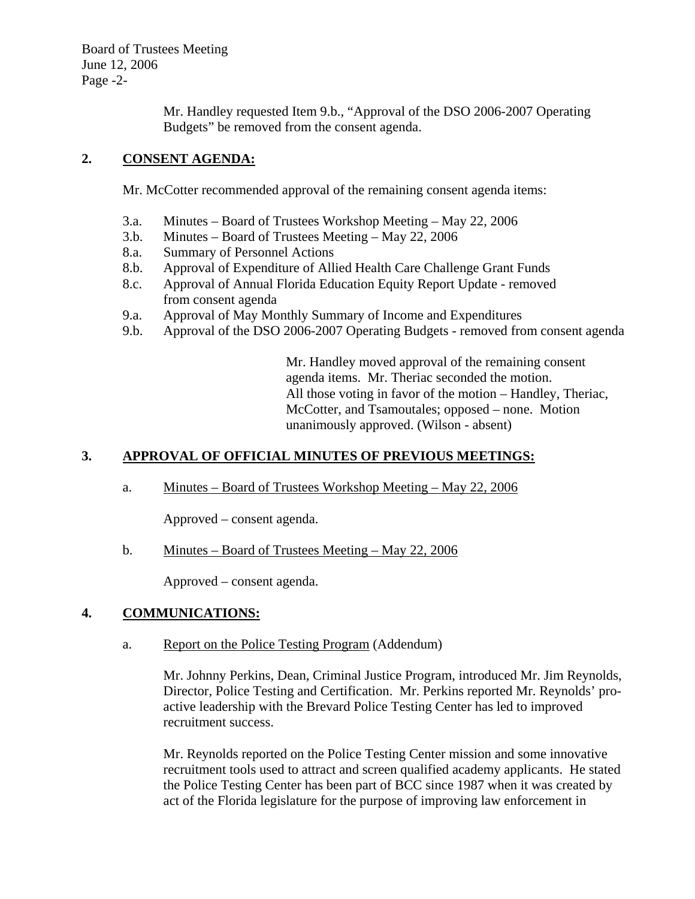Board of Trustees Meeting June 12, 2006 Page -2-

> Mr. Handley requested Item 9.b., "Approval of the DSO 2006-2007 Operating Budgets" be removed from the consent agenda.

# **2. CONSENT AGENDA:**

Mr. McCotter recommended approval of the remaining consent agenda items:

- 3.a. Minutes Board of Trustees Workshop Meeting May 22, 2006
- 3.b. Minutes Board of Trustees Meeting May 22, 2006
- 8.a. Summary of Personnel Actions
- 8.b. Approval of Expenditure of Allied Health Care Challenge Grant Funds
- 8.c. Approval of Annual Florida Education Equity Report Update removed from consent agenda
- 9.a. Approval of May Monthly Summary of Income and Expenditures
- 9.b. Approval of the DSO 2006-2007 Operating Budgets removed from consent agenda

Mr. Handley moved approval of the remaining consent agenda items. Mr. Theriac seconded the motion. All those voting in favor of the motion – Handley, Theriac, McCotter, and Tsamoutales; opposed – none. Motion unanimously approved. (Wilson - absent)

# **3. APPROVAL OF OFFICIAL MINUTES OF PREVIOUS MEETINGS:**

a. Minutes – Board of Trustees Workshop Meeting – May 22, 2006

Approved – consent agenda.

b. Minutes – Board of Trustees Meeting – May 22, 2006

Approved – consent agenda.

# **4. COMMUNICATIONS:**

a. Report on the Police Testing Program (Addendum)

Mr. Johnny Perkins, Dean, Criminal Justice Program, introduced Mr. Jim Reynolds, Director, Police Testing and Certification. Mr. Perkins reported Mr. Reynolds' proactive leadership with the Brevard Police Testing Center has led to improved recruitment success.

Mr. Reynolds reported on the Police Testing Center mission and some innovative recruitment tools used to attract and screen qualified academy applicants. He stated the Police Testing Center has been part of BCC since 1987 when it was created by act of the Florida legislature for the purpose of improving law enforcement in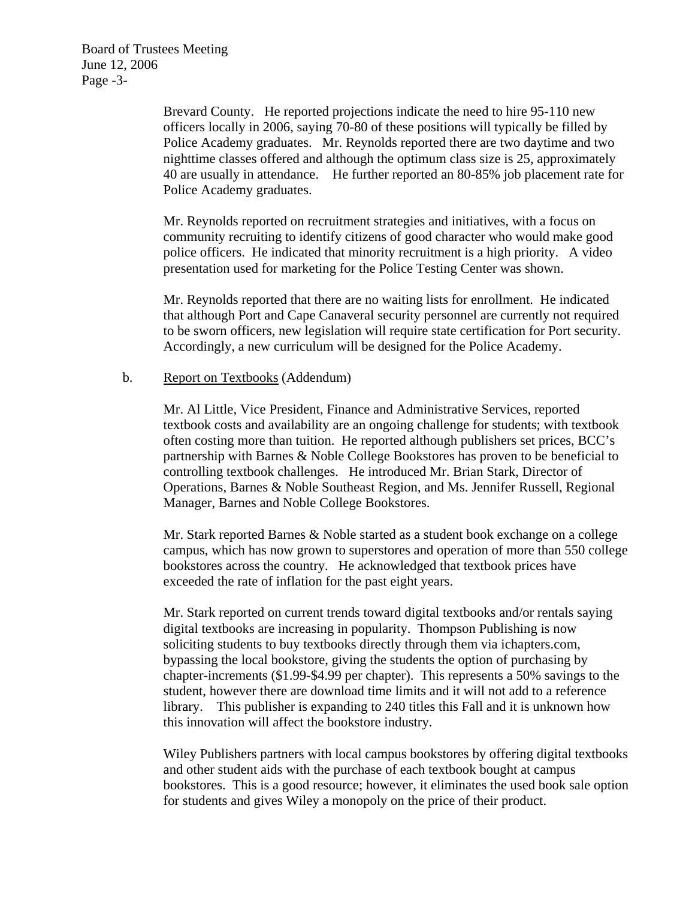Board of Trustees Meeting June 12, 2006 Page -3-

> Brevard County. He reported projections indicate the need to hire 95-110 new officers locally in 2006, saying 70-80 of these positions will typically be filled by Police Academy graduates. Mr. Reynolds reported there are two daytime and two nighttime classes offered and although the optimum class size is 25, approximately 40 are usually in attendance. He further reported an 80-85% job placement rate for Police Academy graduates.

Mr. Reynolds reported on recruitment strategies and initiatives, with a focus on community recruiting to identify citizens of good character who would make good police officers. He indicated that minority recruitment is a high priority. A video presentation used for marketing for the Police Testing Center was shown.

Mr. Reynolds reported that there are no waiting lists for enrollment. He indicated that although Port and Cape Canaveral security personnel are currently not required to be sworn officers, new legislation will require state certification for Port security. Accordingly, a new curriculum will be designed for the Police Academy.

#### b. Report on Textbooks (Addendum)

Mr. Al Little, Vice President, Finance and Administrative Services, reported textbook costs and availability are an ongoing challenge for students; with textbook often costing more than tuition. He reported although publishers set prices, BCC's partnership with Barnes & Noble College Bookstores has proven to be beneficial to controlling textbook challenges. He introduced Mr. Brian Stark, Director of Operations, Barnes & Noble Southeast Region, and Ms. Jennifer Russell, Regional Manager, Barnes and Noble College Bookstores.

Mr. Stark reported Barnes & Noble started as a student book exchange on a college campus, which has now grown to superstores and operation of more than 550 college bookstores across the country. He acknowledged that textbook prices have exceeded the rate of inflation for the past eight years.

Mr. Stark reported on current trends toward digital textbooks and/or rentals saying digital textbooks are increasing in popularity. Thompson Publishing is now soliciting students to buy textbooks directly through them via ichapters.com, bypassing the local bookstore, giving the students the option of purchasing by chapter-increments (\$1.99-\$4.99 per chapter). This represents a 50% savings to the student, however there are download time limits and it will not add to a reference library. This publisher is expanding to 240 titles this Fall and it is unknown how this innovation will affect the bookstore industry.

Wiley Publishers partners with local campus bookstores by offering digital textbooks and other student aids with the purchase of each textbook bought at campus bookstores. This is a good resource; however, it eliminates the used book sale option for students and gives Wiley a monopoly on the price of their product.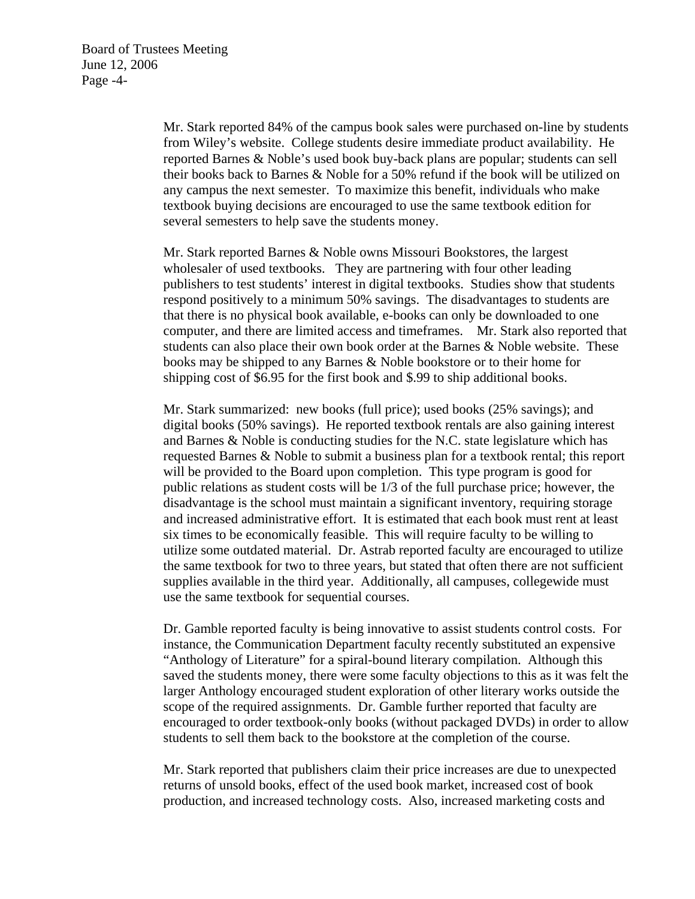Mr. Stark reported 84% of the campus book sales were purchased on-line by students from Wiley's website. College students desire immediate product availability. He reported Barnes & Noble's used book buy-back plans are popular; students can sell their books back to Barnes & Noble for a 50% refund if the book will be utilized on any campus the next semester. To maximize this benefit, individuals who make textbook buying decisions are encouraged to use the same textbook edition for several semesters to help save the students money.

Mr. Stark reported Barnes & Noble owns Missouri Bookstores, the largest wholesaler of used textbooks. They are partnering with four other leading publishers to test students' interest in digital textbooks. Studies show that students respond positively to a minimum 50% savings. The disadvantages to students are that there is no physical book available, e-books can only be downloaded to one computer, and there are limited access and timeframes. Mr. Stark also reported that students can also place their own book order at the Barnes  $\&$  Noble website. These books may be shipped to any Barnes & Noble bookstore or to their home for shipping cost of \$6.95 for the first book and \$.99 to ship additional books.

Mr. Stark summarized: new books (full price); used books (25% savings); and digital books (50% savings). He reported textbook rentals are also gaining interest and Barnes & Noble is conducting studies for the N.C. state legislature which has requested Barnes & Noble to submit a business plan for a textbook rental; this report will be provided to the Board upon completion. This type program is good for public relations as student costs will be 1/3 of the full purchase price; however, the disadvantage is the school must maintain a significant inventory, requiring storage and increased administrative effort. It is estimated that each book must rent at least six times to be economically feasible. This will require faculty to be willing to utilize some outdated material. Dr. Astrab reported faculty are encouraged to utilize the same textbook for two to three years, but stated that often there are not sufficient supplies available in the third year. Additionally, all campuses, collegewide must use the same textbook for sequential courses.

Dr. Gamble reported faculty is being innovative to assist students control costs. For instance, the Communication Department faculty recently substituted an expensive "Anthology of Literature" for a spiral-bound literary compilation. Although this saved the students money, there were some faculty objections to this as it was felt the larger Anthology encouraged student exploration of other literary works outside the scope of the required assignments. Dr. Gamble further reported that faculty are encouraged to order textbook-only books (without packaged DVDs) in order to allow students to sell them back to the bookstore at the completion of the course.

Mr. Stark reported that publishers claim their price increases are due to unexpected returns of unsold books, effect of the used book market, increased cost of book production, and increased technology costs. Also, increased marketing costs and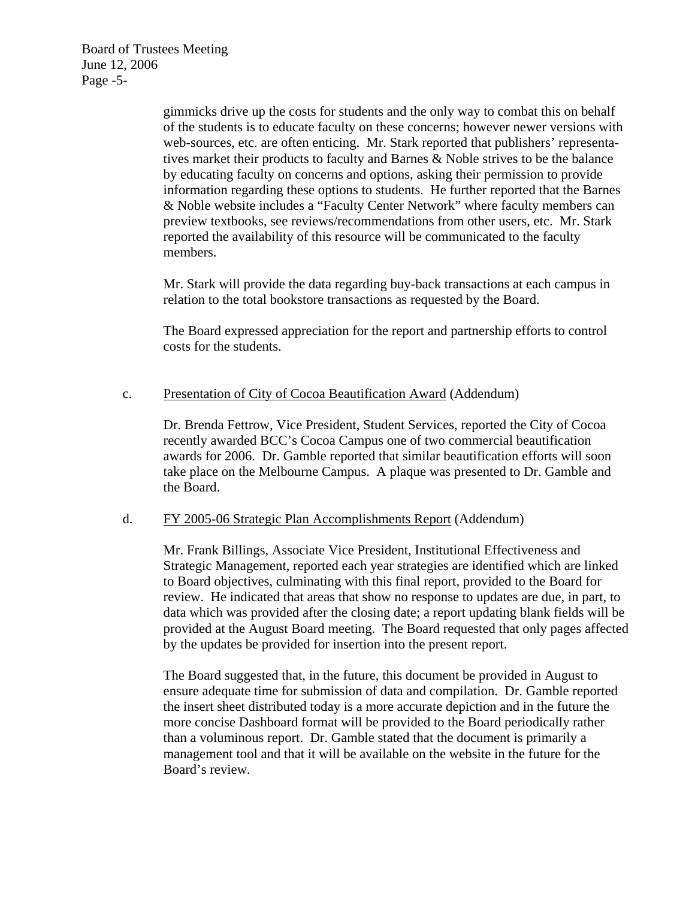Board of Trustees Meeting June 12, 2006 Page -5-

> gimmicks drive up the costs for students and the only way to combat this on behalf of the students is to educate faculty on these concerns; however newer versions with web-sources, etc. are often enticing. Mr. Stark reported that publishers' representatives market their products to faculty and Barnes & Noble strives to be the balance by educating faculty on concerns and options, asking their permission to provide information regarding these options to students. He further reported that the Barnes & Noble website includes a "Faculty Center Network" where faculty members can preview textbooks, see reviews/recommendations from other users, etc. Mr. Stark reported the availability of this resource will be communicated to the faculty members.

Mr. Stark will provide the data regarding buy-back transactions at each campus in relation to the total bookstore transactions as requested by the Board.

The Board expressed appreciation for the report and partnership efforts to control costs for the students.

## c. Presentation of City of Cocoa Beautification Award (Addendum)

Dr. Brenda Fettrow, Vice President, Student Services, reported the City of Cocoa recently awarded BCC's Cocoa Campus one of two commercial beautification awards for 2006. Dr. Gamble reported that similar beautification efforts will soon take place on the Melbourne Campus. A plaque was presented to Dr. Gamble and the Board.

#### d. FY 2005-06 Strategic Plan Accomplishments Report (Addendum)

Mr. Frank Billings, Associate Vice President, Institutional Effectiveness and Strategic Management, reported each year strategies are identified which are linked to Board objectives, culminating with this final report, provided to the Board for review. He indicated that areas that show no response to updates are due, in part, to data which was provided after the closing date; a report updating blank fields will be provided at the August Board meeting. The Board requested that only pages affected by the updates be provided for insertion into the present report.

The Board suggested that, in the future, this document be provided in August to ensure adequate time for submission of data and compilation. Dr. Gamble reported the insert sheet distributed today is a more accurate depiction and in the future the more concise Dashboard format will be provided to the Board periodically rather than a voluminous report. Dr. Gamble stated that the document is primarily a management tool and that it will be available on the website in the future for the Board's review.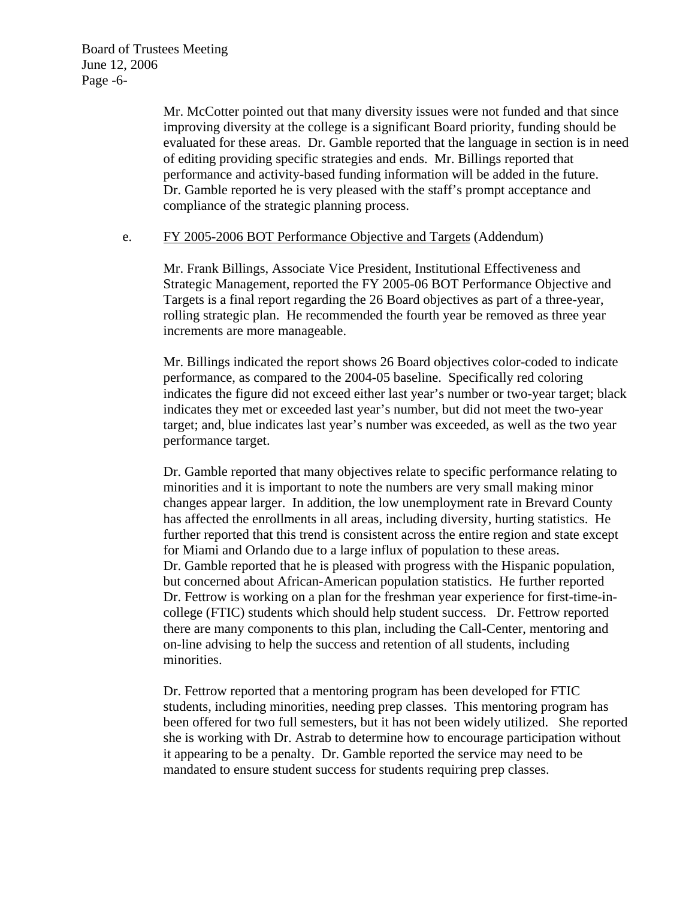Board of Trustees Meeting June 12, 2006 Page -6-

> Mr. McCotter pointed out that many diversity issues were not funded and that since improving diversity at the college is a significant Board priority, funding should be evaluated for these areas. Dr. Gamble reported that the language in section is in need of editing providing specific strategies and ends. Mr. Billings reported that performance and activity-based funding information will be added in the future. Dr. Gamble reported he is very pleased with the staff's prompt acceptance and compliance of the strategic planning process.

#### e. FY 2005-2006 BOT Performance Objective and Targets (Addendum)

Mr. Frank Billings, Associate Vice President, Institutional Effectiveness and Strategic Management, reported the FY 2005-06 BOT Performance Objective and Targets is a final report regarding the 26 Board objectives as part of a three-year, rolling strategic plan. He recommended the fourth year be removed as three year increments are more manageable.

Mr. Billings indicated the report shows 26 Board objectives color-coded to indicate performance, as compared to the 2004-05 baseline. Specifically red coloring indicates the figure did not exceed either last year's number or two-year target; black indicates they met or exceeded last year's number, but did not meet the two-year target; and, blue indicates last year's number was exceeded, as well as the two year performance target.

Dr. Gamble reported that many objectives relate to specific performance relating to minorities and it is important to note the numbers are very small making minor changes appear larger. In addition, the low unemployment rate in Brevard County has affected the enrollments in all areas, including diversity, hurting statistics. He further reported that this trend is consistent across the entire region and state except for Miami and Orlando due to a large influx of population to these areas. Dr. Gamble reported that he is pleased with progress with the Hispanic population, but concerned about African-American population statistics. He further reported Dr. Fettrow is working on a plan for the freshman year experience for first-time-incollege (FTIC) students which should help student success. Dr. Fettrow reported there are many components to this plan, including the Call-Center, mentoring and on-line advising to help the success and retention of all students, including minorities.

Dr. Fettrow reported that a mentoring program has been developed for FTIC students, including minorities, needing prep classes. This mentoring program has been offered for two full semesters, but it has not been widely utilized. She reported she is working with Dr. Astrab to determine how to encourage participation without it appearing to be a penalty. Dr. Gamble reported the service may need to be mandated to ensure student success for students requiring prep classes.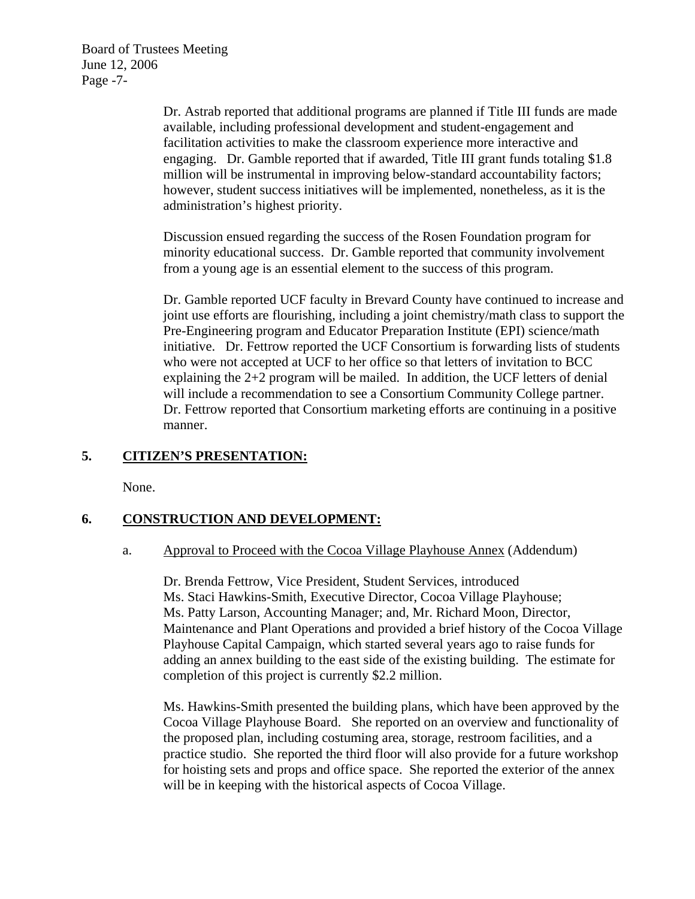Board of Trustees Meeting June 12, 2006 Page -7-

> Dr. Astrab reported that additional programs are planned if Title III funds are made available, including professional development and student-engagement and facilitation activities to make the classroom experience more interactive and engaging. Dr. Gamble reported that if awarded, Title III grant funds totaling \$1.8 million will be instrumental in improving below-standard accountability factors; however, student success initiatives will be implemented, nonetheless, as it is the administration's highest priority.

Discussion ensued regarding the success of the Rosen Foundation program for minority educational success. Dr. Gamble reported that community involvement from a young age is an essential element to the success of this program.

Dr. Gamble reported UCF faculty in Brevard County have continued to increase and joint use efforts are flourishing, including a joint chemistry/math class to support the Pre-Engineering program and Educator Preparation Institute (EPI) science/math initiative. Dr. Fettrow reported the UCF Consortium is forwarding lists of students who were not accepted at UCF to her office so that letters of invitation to BCC explaining the 2+2 program will be mailed. In addition, the UCF letters of denial will include a recommendation to see a Consortium Community College partner. Dr. Fettrow reported that Consortium marketing efforts are continuing in a positive manner.

# **5. CITIZEN'S PRESENTATION:**

None.

# **6. CONSTRUCTION AND DEVELOPMENT:**

### a. Approval to Proceed with the Cocoa Village Playhouse Annex (Addendum)

 Dr. Brenda Fettrow, Vice President, Student Services, introduced Ms. Staci Hawkins-Smith, Executive Director, Cocoa Village Playhouse; Ms. Patty Larson, Accounting Manager; and, Mr. Richard Moon, Director, Maintenance and Plant Operations and provided a brief history of the Cocoa Village Playhouse Capital Campaign, which started several years ago to raise funds for adding an annex building to the east side of the existing building. The estimate for completion of this project is currently \$2.2 million.

Ms. Hawkins-Smith presented the building plans, which have been approved by the Cocoa Village Playhouse Board. She reported on an overview and functionality of the proposed plan, including costuming area, storage, restroom facilities, and a practice studio. She reported the third floor will also provide for a future workshop for hoisting sets and props and office space. She reported the exterior of the annex will be in keeping with the historical aspects of Cocoa Village.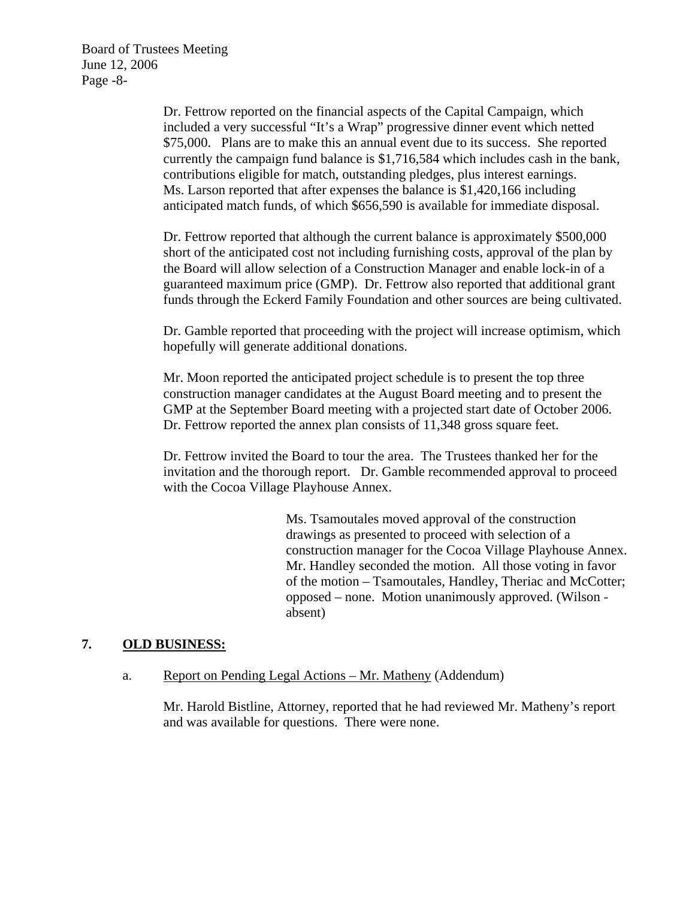Board of Trustees Meeting June 12, 2006 Page -8-

> Dr. Fettrow reported on the financial aspects of the Capital Campaign, which included a very successful "It's a Wrap" progressive dinner event which netted \$75,000. Plans are to make this an annual event due to its success. She reported currently the campaign fund balance is \$1,716,584 which includes cash in the bank, contributions eligible for match, outstanding pledges, plus interest earnings. Ms. Larson reported that after expenses the balance is \$1,420,166 including anticipated match funds, of which \$656,590 is available for immediate disposal.

> Dr. Fettrow reported that although the current balance is approximately \$500,000 short of the anticipated cost not including furnishing costs, approval of the plan by the Board will allow selection of a Construction Manager and enable lock-in of a guaranteed maximum price (GMP). Dr. Fettrow also reported that additional grant funds through the Eckerd Family Foundation and other sources are being cultivated.

> Dr. Gamble reported that proceeding with the project will increase optimism, which hopefully will generate additional donations.

Mr. Moon reported the anticipated project schedule is to present the top three construction manager candidates at the August Board meeting and to present the GMP at the September Board meeting with a projected start date of October 2006. Dr. Fettrow reported the annex plan consists of 11,348 gross square feet.

Dr. Fettrow invited the Board to tour the area. The Trustees thanked her for the invitation and the thorough report. Dr. Gamble recommended approval to proceed with the Cocoa Village Playhouse Annex.

> Ms. Tsamoutales moved approval of the construction drawings as presented to proceed with selection of a construction manager for the Cocoa Village Playhouse Annex. Mr. Handley seconded the motion. All those voting in favor of the motion – Tsamoutales, Handley, Theriac and McCotter; opposed – none. Motion unanimously approved. (Wilson absent)

# **7. OLD BUSINESS:**

### a. Report on Pending Legal Actions – Mr. Matheny (Addendum)

Mr. Harold Bistline, Attorney, reported that he had reviewed Mr. Matheny's report and was available for questions. There were none.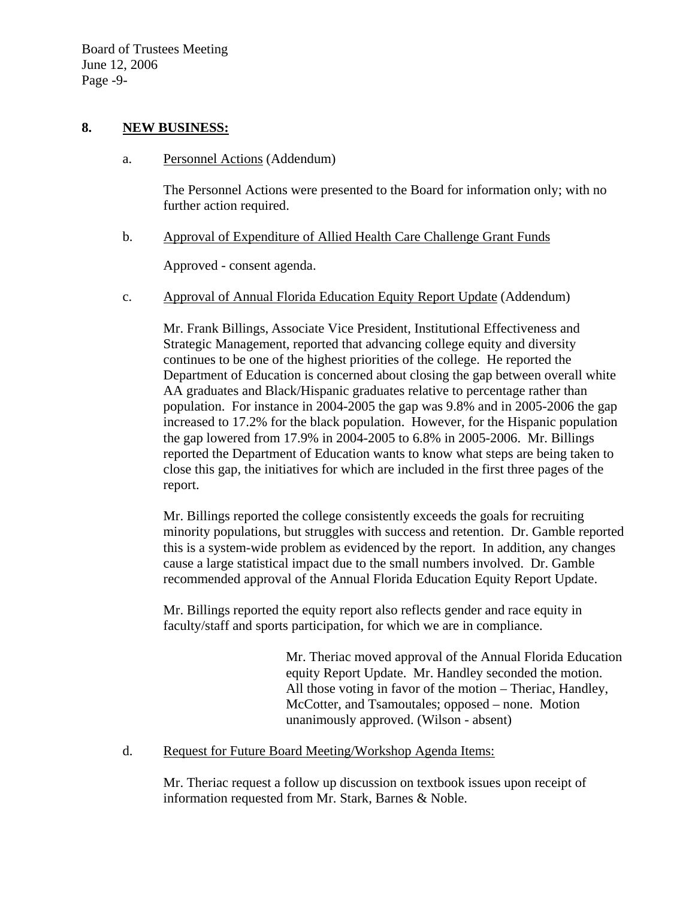### **8. NEW BUSINESS:**

a. Personnel Actions (Addendum)

The Personnel Actions were presented to the Board for information only; with no further action required.

b. Approval of Expenditure of Allied Health Care Challenge Grant Funds

Approved - consent agenda.

c. Approval of Annual Florida Education Equity Report Update (Addendum)

Mr. Frank Billings, Associate Vice President, Institutional Effectiveness and Strategic Management, reported that advancing college equity and diversity continues to be one of the highest priorities of the college. He reported the Department of Education is concerned about closing the gap between overall white AA graduates and Black/Hispanic graduates relative to percentage rather than population. For instance in 2004-2005 the gap was 9.8% and in 2005-2006 the gap increased to 17.2% for the black population. However, for the Hispanic population the gap lowered from 17.9% in 2004-2005 to 6.8% in 2005-2006. Mr. Billings reported the Department of Education wants to know what steps are being taken to close this gap, the initiatives for which are included in the first three pages of the report.

Mr. Billings reported the college consistently exceeds the goals for recruiting minority populations, but struggles with success and retention. Dr. Gamble reported this is a system-wide problem as evidenced by the report. In addition, any changes cause a large statistical impact due to the small numbers involved. Dr. Gamble recommended approval of the Annual Florida Education Equity Report Update.

Mr. Billings reported the equity report also reflects gender and race equity in faculty/staff and sports participation, for which we are in compliance.

> Mr. Theriac moved approval of the Annual Florida Education equity Report Update. Mr. Handley seconded the motion. All those voting in favor of the motion – Theriac, Handley, McCotter, and Tsamoutales; opposed – none. Motion unanimously approved. (Wilson - absent)

d. Request for Future Board Meeting/Workshop Agenda Items:

Mr. Theriac request a follow up discussion on textbook issues upon receipt of information requested from Mr. Stark, Barnes & Noble.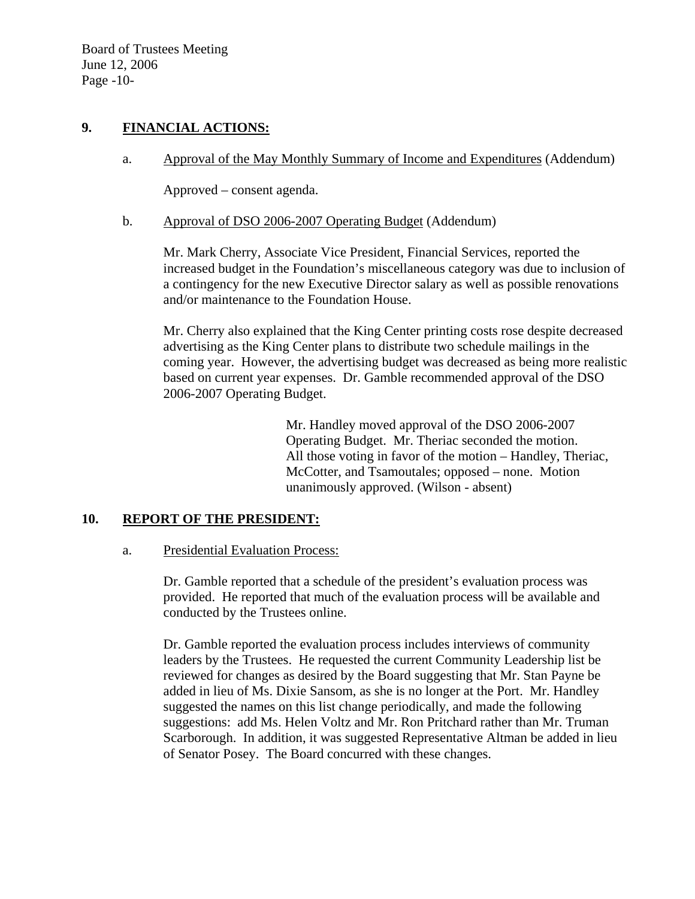Board of Trustees Meeting June 12, 2006 Page -10-

## **9. FINANCIAL ACTIONS:**

a. Approval of the May Monthly Summary of Income and Expenditures (Addendum)

Approved – consent agenda.

b. Approval of DSO 2006-2007 Operating Budget (Addendum)

Mr. Mark Cherry, Associate Vice President, Financial Services, reported the increased budget in the Foundation's miscellaneous category was due to inclusion of a contingency for the new Executive Director salary as well as possible renovations and/or maintenance to the Foundation House.

Mr. Cherry also explained that the King Center printing costs rose despite decreased advertising as the King Center plans to distribute two schedule mailings in the coming year. However, the advertising budget was decreased as being more realistic based on current year expenses. Dr. Gamble recommended approval of the DSO 2006-2007 Operating Budget.

> Mr. Handley moved approval of the DSO 2006-2007 Operating Budget. Mr. Theriac seconded the motion. All those voting in favor of the motion – Handley, Theriac, McCotter, and Tsamoutales; opposed – none. Motion unanimously approved. (Wilson - absent)

#### **10. REPORT OF THE PRESIDENT:**

a. Presidential Evaluation Process:

Dr. Gamble reported that a schedule of the president's evaluation process was provided. He reported that much of the evaluation process will be available and conducted by the Trustees online.

Dr. Gamble reported the evaluation process includes interviews of community leaders by the Trustees. He requested the current Community Leadership list be reviewed for changes as desired by the Board suggesting that Mr. Stan Payne be added in lieu of Ms. Dixie Sansom, as she is no longer at the Port. Mr. Handley suggested the names on this list change periodically, and made the following suggestions: add Ms. Helen Voltz and Mr. Ron Pritchard rather than Mr. Truman Scarborough. In addition, it was suggested Representative Altman be added in lieu of Senator Posey. The Board concurred with these changes.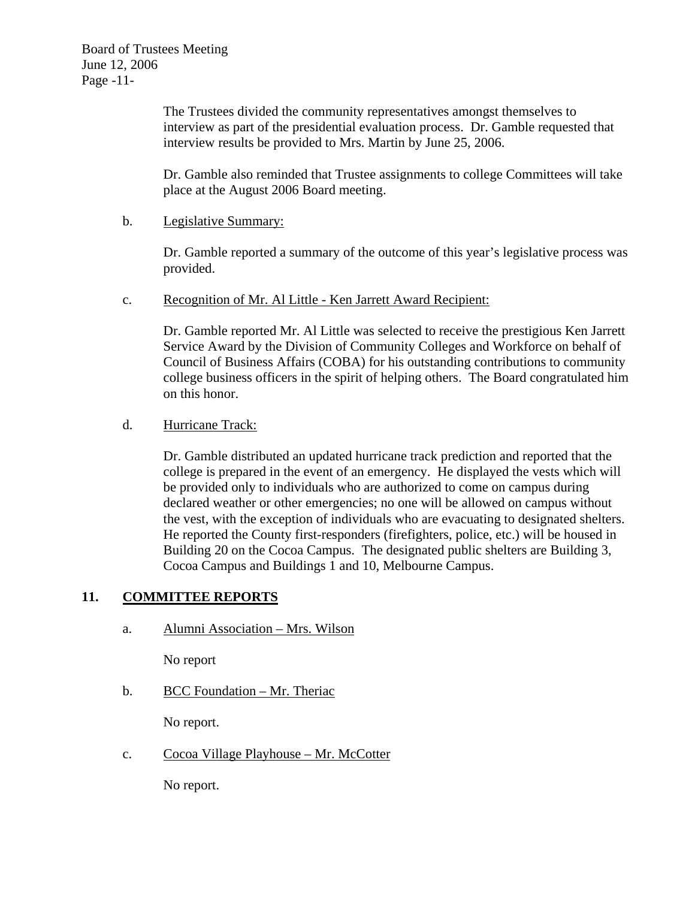The Trustees divided the community representatives amongst themselves to interview as part of the presidential evaluation process. Dr. Gamble requested that interview results be provided to Mrs. Martin by June 25, 2006.

Dr. Gamble also reminded that Trustee assignments to college Committees will take place at the August 2006 Board meeting.

### b. Legislative Summary:

Dr. Gamble reported a summary of the outcome of this year's legislative process was provided.

c. Recognition of Mr. Al Little - Ken Jarrett Award Recipient:

Dr. Gamble reported Mr. Al Little was selected to receive the prestigious Ken Jarrett Service Award by the Division of Community Colleges and Workforce on behalf of Council of Business Affairs (COBA) for his outstanding contributions to community college business officers in the spirit of helping others. The Board congratulated him on this honor.

# d. Hurricane Track:

Dr. Gamble distributed an updated hurricane track prediction and reported that the college is prepared in the event of an emergency. He displayed the vests which will be provided only to individuals who are authorized to come on campus during declared weather or other emergencies; no one will be allowed on campus without the vest, with the exception of individuals who are evacuating to designated shelters. He reported the County first-responders (firefighters, police, etc.) will be housed in Building 20 on the Cocoa Campus. The designated public shelters are Building 3, Cocoa Campus and Buildings 1 and 10, Melbourne Campus.

# **11. COMMITTEE REPORTS**

a. Alumni Association – Mrs. Wilson

No report

b. BCC Foundation – Mr. Theriac

No report.

c. Cocoa Village Playhouse – Mr. McCotter

No report.